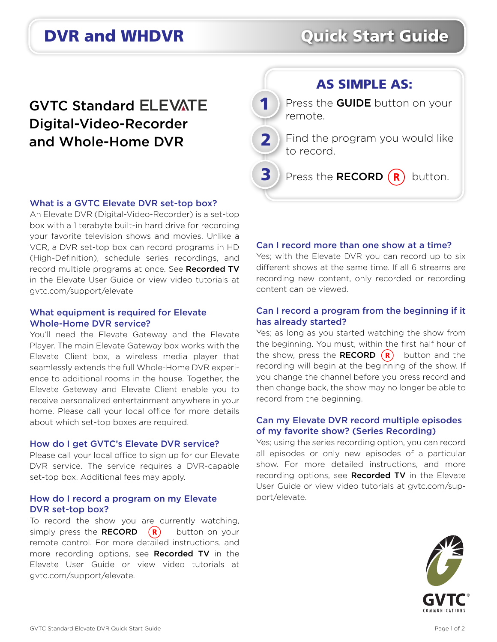# **DVR and WHDVR CUICK Start Guide**

## **GVTC Standard ELEVATE** Digital-Video-Recorder and Whole-Home DVR



#### What is a GVTC Elevate DVR set-top box?

An Elevate DVR (Digital-Video-Recorder) is a set-top box with a 1 terabyte built-in hard drive for recording your favorite television shows and movies. Unlike a VCR, a DVR set-top box can record programs in HD (High-Definition), schedule series recordings, and record multiple programs at once. See Recorded TV in the Elevate User Guide or view video tutorials at gvtc.com/support/elevate

#### What equipment is required for Elevate Whole-Home DVR service?

You'll need the Elevate Gateway and the Elevate Player. The main Elevate Gateway box works with the Elevate Client box, a wireless media player that seamlessly extends the full Whole-Home DVR experience to additional rooms in the house. Together, the Elevate Gateway and Elevate Client enable you to receive personalized entertainment anywhere in your home. Please call your local office for more details about which set-top boxes are required.

#### How do I get GVTC's Elevate DVR service?

Please call your local office to sign up for our Elevate DVR service. The service requires a DVR-capable set-top box. Additional fees may apply.

#### How do I record a program on my Elevate DVR set-top box?

To record the show you are currently watching, simply press the **RECORD**  $(R)$  button on your remote control. For more detailed instructions, and more recording options, see Recorded TV in the Elevate User Guide or view video tutorials at gvtc.com/support/elevate.

#### Can I record more than one show at a time?

Yes; with the Elevate DVR you can record up to six different shows at the same time. If all 6 streams are recording new content, only recorded or recording content can be viewed.

#### Can I record a program from the beginning if it has already started?

Yes; as long as you started watching the show from the beginning. You must, within the first half hour of the show, press the **RECORD**  $(R)$  button and the recording will begin at the beginning of the show. If you change the channel before you press record and then change back, the show may no longer be able to record from the beginning.

#### Can my Elevate DVR record multiple episodes of my favorite show? (Series Recording)

Yes; using the series recording option, you can record all episodes or only new episodes of a particular show. For more detailed instructions, and more recording options, see Recorded TV in the Elevate User Guide or view video tutorials at gvtc.com/support/elevate.